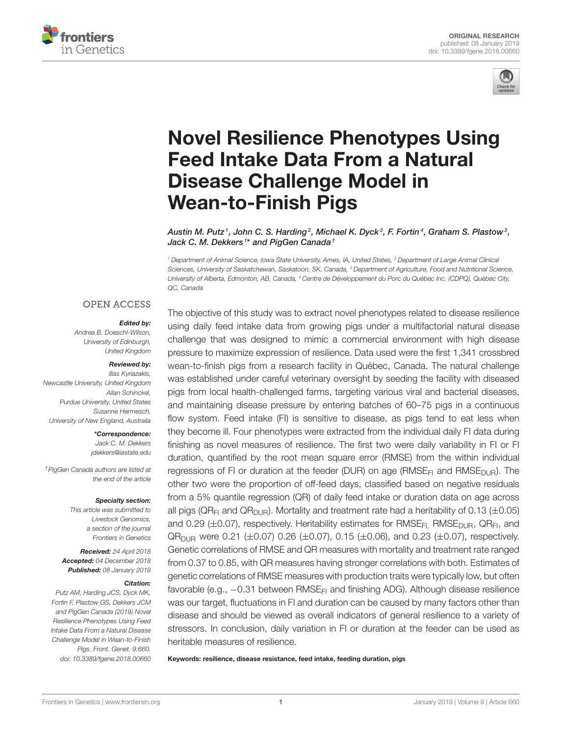



# [Novel Resilience Phenotypes Using](https://www.frontiersin.org/articles/10.3389/fgene.2018.00660/full) Feed Intake Data From a Natural Disease Challenge Model in Wean-to-Finish Pigs

[Austin M. Putz](http://loop.frontiersin.org/people/551082/overview) $^1$ , John C. S. Harding $^2$ , Michael K. Dyck $^3$ , F. Fortin $^4$ , [Graham S. Plastow](http://loop.frontiersin.org/people/67016/overview) $^3$ , [Jack C. M. Dekkers](http://loop.frontiersin.org/people/67063/overview) <sup>1</sup> \* and PigGen Canada†

<sup>1</sup> Department of Animal Science, Iowa State University, Ames, IA, United States, <sup>2</sup> Department of Large Animal Clinical Sciences, University of Saskatchewan, Saskatoon, SK, Canada, <sup>3</sup> Department of Agriculture, Food and Nutritional Science, University of Alberta, Edmonton, AB, Canada, <sup>4</sup> Centre de Développement du Porc du Québec Inc. (CDPQ), Québec City, QC, Canada

#### **OPEN ACCESS**

#### Edited by:

Andrea B. Doeschl-Wilson, University of Edinburgh, United Kingdom

#### Reviewed by:

Ilias Kyriazakis, Newcastle University, United Kingdom Allan Schinckel, Purdue University, United States Susanne Hermesch, University of New England, Australia

> \*Correspondence: Jack C. M. Dekkers [jdekkers@iastate.edu](mailto:jdekkers@iastate.edu)

†PigGen Canada authors are listed at the end of the article

#### Specialty section:

This article was submitted to Livestock Genomics, a section of the journal Frontiers in Genetics

Received: 24 April 2018 Accepted: 04 December 2018 Published: 08 January 2019

#### Citation:

Putz AM, Harding JCS, Dyck MK, Fortin F, Plastow GS, Dekkers JCM and PigGen Canada (2019) Novel Resilience Phenotypes Using Feed Intake Data From a Natural Disease Challenge Model in Wean-to-Finish Pigs. Front. Genet. 9:660. doi: [10.3389/fgene.2018.00660](https://doi.org/10.3389/fgene.2018.00660) The objective of this study was to extract novel phenotypes related to disease resilience using daily feed intake data from growing pigs under a multifactorial natural disease challenge that was designed to mimic a commercial environment with high disease pressure to maximize expression of resilience. Data used were the first 1,341 crossbred wean-to-finish pigs from a research facility in Québec, Canada. The natural challenge was established under careful veterinary oversight by seeding the facility with diseased pigs from local health-challenged farms, targeting various viral and bacterial diseases, and maintaining disease pressure by entering batches of 60–75 pigs in a continuous flow system. Feed intake (FI) is sensitive to disease, as pigs tend to eat less when they become ill. Four phenotypes were extracted from the individual daily FI data during finishing as novel measures of resilience. The first two were daily variability in FI or FI duration, quantified by the root mean square error (RMSE) from the within individual regressions of FI or duration at the feeder (DUR) on age (RMSE<sub>FI</sub> and RMSE<sub>DUR</sub>). The other two were the proportion of off-feed days, classified based on negative residuals from a 5% quantile regression (QR) of daily feed intake or duration data on age across all pigs (QR<sub>FI</sub> and QR<sub>DUR</sub>). Mortality and treatment rate had a heritability of 0.13 ( $\pm$ 0.05) and 0.29 ( $\pm$ 0.07), respectively. Heritability estimates for RMSE<sub>FL</sub> RMSE<sub>DUR</sub>, QR<sub>FI</sub>, and  $QR_{DUR}$  were 0.21 ( $\pm$ 0.07) 0.26 ( $\pm$ 0.07), 0.15 ( $\pm$ 0.06), and 0.23 ( $\pm$ 0.07), respectively. Genetic correlations of RMSE and QR measures with mortality and treatment rate ranged from 0.37 to 0.85, with QR measures having stronger correlations with both. Estimates of genetic correlations of RMSE measures with production traits were typically low, but often favorable (e.g., -0.31 between RMSE<sub>FI</sub> and finishing ADG). Although disease resilience was our target, fluctuations in FI and duration can be caused by many factors other than disease and should be viewed as overall indicators of general resilience to a variety of stressors. In conclusion, daily variation in FI or duration at the feeder can be used as heritable measures of resilience.

Keywords: resilience, disease resistance, feed intake, feeding duration, pigs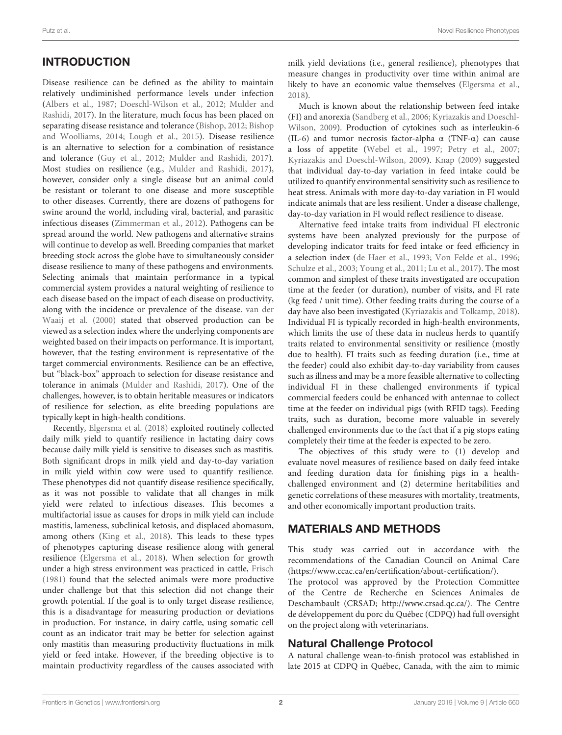# INTRODUCTION

Disease resilience can be defined as the ability to maintain relatively undiminished performance levels under infection [\(Albers et al., 1987;](#page-11-0) [Doeschl-Wilson et al., 2012;](#page-11-1) Mulder and Rashidi, [2017\)](#page-12-0). In the literature, much focus has been placed on separating disease resistance and tolerance [\(Bishop, 2012;](#page-11-2) Bishop and Woolliams, [2014;](#page-11-3) [Lough et al., 2015\)](#page-12-1). Disease resilience is an alternative to selection for a combination of resistance and tolerance [\(Guy et al., 2012;](#page-12-2) [Mulder and Rashidi, 2017\)](#page-12-0). Most studies on resilience (e.g., [Mulder and Rashidi, 2017\)](#page-12-0), however, consider only a single disease but an animal could be resistant or tolerant to one disease and more susceptible to other diseases. Currently, there are dozens of pathogens for swine around the world, including viral, bacterial, and parasitic infectious diseases [\(Zimmerman et al., 2012\)](#page-13-0). Pathogens can be spread around the world. New pathogens and alternative strains will continue to develop as well. Breeding companies that market breeding stock across the globe have to simultaneously consider disease resilience to many of these pathogens and environments. Selecting animals that maintain performance in a typical commercial system provides a natural weighting of resilience to each disease based on the impact of each disease on productivity, along with the incidence or prevalence of the disease. van der Waaij et al. [\(2000\)](#page-13-1) stated that observed production can be viewed as a selection index where the underlying components are weighted based on their impacts on performance. It is important, however, that the testing environment is representative of the target commercial environments. Resilience can be an effective, but "black-box" approach to selection for disease resistance and tolerance in animals [\(Mulder and Rashidi, 2017\)](#page-12-0). One of the challenges, however, is to obtain heritable measures or indicators of resilience for selection, as elite breeding populations are typically kept in high-health conditions.

Recently, [Elgersma et al. \(2018\)](#page-12-3) exploited routinely collected daily milk yield to quantify resilience in lactating dairy cows because daily milk yield is sensitive to diseases such as mastitis. Both significant drops in milk yield and day-to-day variation in milk yield within cow were used to quantify resilience. These phenotypes did not quantify disease resilience specifically, as it was not possible to validate that all changes in milk yield were related to infectious diseases. This becomes a multifactorial issue as causes for drops in milk yield can include mastitis, lameness, subclinical ketosis, and displaced abomasum, among others [\(King et al., 2018\)](#page-12-4). This leads to these types of phenotypes capturing disease resilience along with general resilience [\(Elgersma et al., 2018\)](#page-12-3). When selection for growth under a high stress environment was practiced in cattle, [Frisch](#page-12-5) [\(1981\)](#page-12-5) found that the selected animals were more productive under challenge but that this selection did not change their growth potential. If the goal is to only target disease resilience, this is a disadvantage for measuring production or deviations in production. For instance, in dairy cattle, using somatic cell count as an indicator trait may be better for selection against only mastitis than measuring productivity fluctuations in milk yield or feed intake. However, if the breeding objective is to maintain productivity regardless of the causes associated with

milk yield deviations (i.e., general resilience), phenotypes that measure changes in productivity over time within animal are likely to have an economic value themselves [\(Elgersma et al.,](#page-12-3) [2018\)](#page-12-3).

Much is known about the relationship between feed intake (FI) and anorexia [\(Sandberg et al., 2006;](#page-12-6) Kyriazakis and Doeschl-Wilson, [2009\)](#page-12-7). Production of cytokines such as interleukin-6 (IL-6) and tumor necrosis factor-alpha α (TNF-α) can cause a loss of appetite [\(Webel et al., 1997;](#page-13-2) [Petry et al., 2007;](#page-12-8) [Kyriazakis and Doeschl-Wilson, 2009\)](#page-12-7). [Knap \(2009\)](#page-12-9) suggested that individual day-to-day variation in feed intake could be utilized to quantify environmental sensitivity such as resilience to heat stress. Animals with more day-to-day variation in FI would indicate animals that are less resilient. Under a disease challenge, day-to-day variation in FI would reflect resilience to disease.

Alternative feed intake traits from individual FI electronic systems have been analyzed previously for the purpose of developing indicator traits for feed intake or feed efficiency in a selection index [\(de Haer et al., 1993;](#page-11-4) [Von Felde et al., 1996;](#page-13-3) [Schulze et al., 2003;](#page-12-10) [Young et al., 2011;](#page-13-4) [Lu et al., 2017\)](#page-12-11). The most common and simplest of these traits investigated are occupation time at the feeder (or duration), number of visits, and FI rate (kg feed / unit time). Other feeding traits during the course of a day have also been investigated [\(Kyriazakis and Tolkamp, 2018\)](#page-12-12). Individual FI is typically recorded in high-health environments, which limits the use of these data in nucleus herds to quantify traits related to environmental sensitivity or resilience (mostly due to health). FI traits such as feeding duration (i.e., time at the feeder) could also exhibit day-to-day variability from causes such as illness and may be a more feasible alternative to collecting individual FI in these challenged environments if typical commercial feeders could be enhanced with antennae to collect time at the feeder on individual pigs (with RFID tags). Feeding traits, such as duration, become more valuable in severely challenged environments due to the fact that if a pig stops eating completely their time at the feeder is expected to be zero.

The objectives of this study were to (1) develop and evaluate novel measures of resilience based on daily feed intake and feeding duration data for finishing pigs in a healthchallenged environment and (2) determine heritabilities and genetic correlations of these measures with mortality, treatments, and other economically important production traits.

### MATERIALS AND METHODS

This study was carried out in accordance with the recommendations of the Canadian Council on Animal Care [\(https://www.ccac.ca/en/certification/about-certification/\)](https://www.ccac.ca/en/certification/about-certification/).

The protocol was approved by the Protection Committee of the Centre de Recherche en Sciences Animales de Deschambault (CRSAD; [http://www.crsad.qc.ca/\)](http://www.crsad.qc.ca/). The Centre de développement du porc du Québec (CDPQ) had full oversight on the project along with veterinarians.

### Natural Challenge Protocol

A natural challenge wean-to-finish protocol was established in late 2015 at CDPQ in Québec, Canada, with the aim to mimic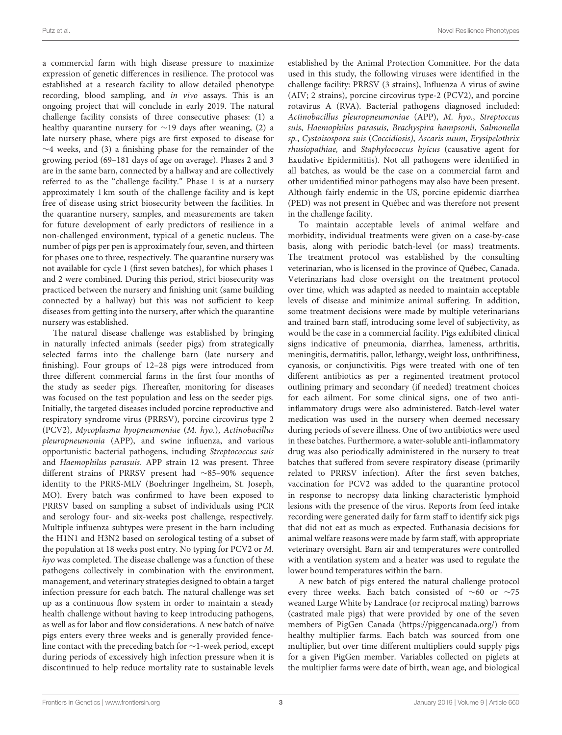a commercial farm with high disease pressure to maximize expression of genetic differences in resilience. The protocol was established at a research facility to allow detailed phenotype recording, blood sampling, and in vivo assays. This is an ongoing project that will conclude in early 2019. The natural challenge facility consists of three consecutive phases: (1) a healthy quarantine nursery for ∼19 days after weaning, (2) a late nursery phase, where pigs are first exposed to disease for ∼4 weeks, and (3) a finishing phase for the remainder of the growing period (69–181 days of age on average). Phases 2 and 3 are in the same barn, connected by a hallway and are collectively referred to as the "challenge facility." Phase 1 is at a nursery approximately 1 km south of the challenge facility and is kept free of disease using strict biosecurity between the facilities. In the quarantine nursery, samples, and measurements are taken for future development of early predictors of resilience in a non-challenged environment, typical of a genetic nucleus. The number of pigs per pen is approximately four, seven, and thirteen for phases one to three, respectively. The quarantine nursery was not available for cycle 1 (first seven batches), for which phases 1 and 2 were combined. During this period, strict biosecurity was practiced between the nursery and finishing unit (same building connected by a hallway) but this was not sufficient to keep diseases from getting into the nursery, after which the quarantine nursery was established.

The natural disease challenge was established by bringing in naturally infected animals (seeder pigs) from strategically selected farms into the challenge barn (late nursery and finishing). Four groups of 12–28 pigs were introduced from three different commercial farms in the first four months of the study as seeder pigs. Thereafter, monitoring for diseases was focused on the test population and less on the seeder pigs. Initially, the targeted diseases included porcine reproductive and respiratory syndrome virus (PRRSV), porcine circovirus type 2 (PCV2), Mycoplasma hyopneumoniae (M. hyo.), Actinobacillus pleuropneumonia (APP), and swine influenza, and various opportunistic bacterial pathogens, including Streptococcus suis and Haemophilus parasuis. APP strain 12 was present. Three different strains of PRRSV present had ∼85–90% sequence identity to the PRRS-MLV (Boehringer Ingelheim, St. Joseph, MO). Every batch was confirmed to have been exposed to PRRSV based on sampling a subset of individuals using PCR and serology four- and six-weeks post challenge, respectively. Multiple influenza subtypes were present in the barn including the H1N1 and H3N2 based on serological testing of a subset of the population at 18 weeks post entry. No typing for PCV2 or M. hyo was completed. The disease challenge was a function of these pathogens collectively in combination with the environment, management, and veterinary strategies designed to obtain a target infection pressure for each batch. The natural challenge was set up as a continuous flow system in order to maintain a steady health challenge without having to keep introducing pathogens, as well as for labor and flow considerations. A new batch of naïve pigs enters every three weeks and is generally provided fenceline contact with the preceding batch for ∼1-week period, except during periods of excessively high infection pressure when it is discontinued to help reduce mortality rate to sustainable levels established by the Animal Protection Committee. For the data used in this study, the following viruses were identified in the challenge facility: PRRSV (3 strains), Influenza A virus of swine (AIV; 2 strains), porcine circovirus type-2 (PCV2), and porcine rotavirus A (RVA). Bacterial pathogens diagnosed included: Actinobacillus pleuropneumoniae (APP), M. hyo., Streptoccus suis, Haemophilus parasuis, Brachyspira hampsonii, Salmonella sp., Cystoisospora suis (Coccidiosis), Ascaris suum, Erysipelothrix rhusiopathiae, and Staphylococcus hyicus (causative agent for Exudative Epidermititis). Not all pathogens were identified in all batches, as would be the case on a commercial farm and other unidentified minor pathogens may also have been present. Although fairly endemic in the US, porcine epidemic diarrhea (PED) was not present in Québec and was therefore not present in the challenge facility.

To maintain acceptable levels of animal welfare and morbidity, individual treatments were given on a case-by-case basis, along with periodic batch-level (or mass) treatments. The treatment protocol was established by the consulting veterinarian, who is licensed in the province of Québec, Canada. Veterinarians had close oversight on the treatment protocol over time, which was adapted as needed to maintain acceptable levels of disease and minimize animal suffering. In addition, some treatment decisions were made by multiple veterinarians and trained barn staff, introducing some level of subjectivity, as would be the case in a commercial facility. Pigs exhibited clinical signs indicative of pneumonia, diarrhea, lameness, arthritis, meningitis, dermatitis, pallor, lethargy, weight loss, unthriftiness, cyanosis, or conjunctivitis. Pigs were treated with one of ten different antibiotics as per a regimented treatment protocol outlining primary and secondary (if needed) treatment choices for each ailment. For some clinical signs, one of two antiinflammatory drugs were also administered. Batch-level water medication was used in the nursery when deemed necessary during periods of severe illness. One of two antibiotics were used in these batches. Furthermore, a water-soluble anti-inflammatory drug was also periodically administered in the nursery to treat batches that suffered from severe respiratory disease (primarily related to PRRSV infection). After the first seven batches, vaccination for PCV2 was added to the quarantine protocol in response to necropsy data linking characteristic lymphoid lesions with the presence of the virus. Reports from feed intake recording were generated daily for farm staff to identify sick pigs that did not eat as much as expected. Euthanasia decisions for animal welfare reasons were made by farm staff, with appropriate veterinary oversight. Barn air and temperatures were controlled with a ventilation system and a heater was used to regulate the lower bound temperatures within the barn.

A new batch of pigs entered the natural challenge protocol every three weeks. Each batch consisted of ∼60 or ∼75 weaned Large White by Landrace (or reciprocal mating) barrows (castrated male pigs) that were provided by one of the seven members of PigGen Canada [\(https://piggencanada.org/\)](https://piggencanada.org/) from healthy multiplier farms. Each batch was sourced from one multiplier, but over time different multipliers could supply pigs for a given PigGen member. Variables collected on piglets at the multiplier farms were date of birth, wean age, and biological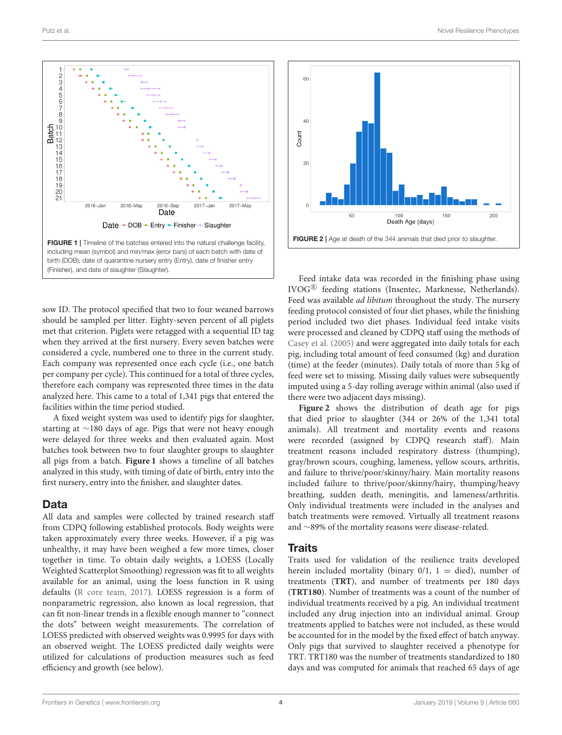

<span id="page-3-0"></span>sow ID. The protocol specified that two to four weaned barrows should be sampled per litter. Eighty-seven percent of all piglets met that criterion. Piglets were retagged with a sequential ID tag when they arrived at the first nursery. Every seven batches were considered a cycle, numbered one to three in the current study. Each company was represented once each cycle (i.e., one batch per company per cycle). This continued for a total of three cycles, therefore each company was represented three times in the data analyzed here. This came to a total of 1,341 pigs that entered the facilities within the time period studied.

A fixed weight system was used to identify pigs for slaughter, starting at ∼180 days of age. Pigs that were not heavy enough were delayed for three weeks and then evaluated again. Most batches took between two to four slaughter groups to slaughter all pigs from a batch. **[Figure 1](#page-3-0)** shows a timeline of all batches analyzed in this study, with timing of date of birth, entry into the first nursery, entry into the finisher, and slaughter dates.

#### Data

All data and samples were collected by trained research staff from CDPQ following established protocols. Body weights were taken approximately every three weeks. However, if a pig was unhealthy, it may have been weighed a few more times, closer together in time. To obtain daily weights, a LOESS (Locally Weighted Scatterplot Smoothing) regression was fit to all weights available for an animal, using the loess function in R using defaults [\(R core team, 2017\)](#page-12-13). LOESS regression is a form of nonparametric regression, also known as local regression, that can fit non-linear trends in a flexible enough manner to "connect the dots" between weight measurements. The correlation of LOESS predicted with observed weights was 0.9995 for days with an observed weight. The LOESS predicted daily weights were utilized for calculations of production measures such as feed efficiency and growth (see below).



<span id="page-3-1"></span>Feed intake data was recorded in the finishing phase using IVOG<sup>®</sup> feeding stations (Insentec, Marknesse, Netherlands). Feed was available *ad libitum* throughout the study. The nursery feeding protocol consisted of four diet phases, while the finishing period included two diet phases. Individual feed intake visits were processed and cleaned by CDPQ staff using the methods of [Casey et al. \(2005\)](#page-11-5) and were aggregated into daily totals for each pig, including total amount of feed consumed (kg) and duration (time) at the feeder (minutes). Daily totals of more than 5 kg of feed were set to missing. Missing daily values were subsequently imputed using a 5-day rolling average within animal (also used if there were two adjacent days missing).

**[Figure 2](#page-3-1)** shows the distribution of death age for pigs that died prior to slaughter (344 or 26% of the 1,341 total animals). All treatment and mortality events and reasons were recorded (assigned by CDPQ research staff). Main treatment reasons included respiratory distress (thumping), gray/brown scours, coughing, lameness, yellow scours, arthritis, and failure to thrive/poor/skinny/hairy. Main mortality reasons included failure to thrive/poor/skinny/hairy, thumping/heavy breathing, sudden death, meningitis, and lameness/arthritis. Only individual treatments were included in the analyses and batch treatments were removed. Virtually all treatment reasons and ∼89% of the mortality reasons were disease-related.

#### **Traits**

Traits used for validation of the resilience traits developed herein included mortality (binary  $0/1$ ,  $1 =$  died), number of treatments (**TRT**), and number of treatments per 180 days (**TRT180**). Number of treatments was a count of the number of individual treatments received by a pig. An individual treatment included any drug injection into an individual animal. Group treatments applied to batches were not included, as these would be accounted for in the model by the fixed effect of batch anyway. Only pigs that survived to slaughter received a phenotype for TRT. TRT180 was the number of treatments standardized to 180 days and was computed for animals that reached 65 days of age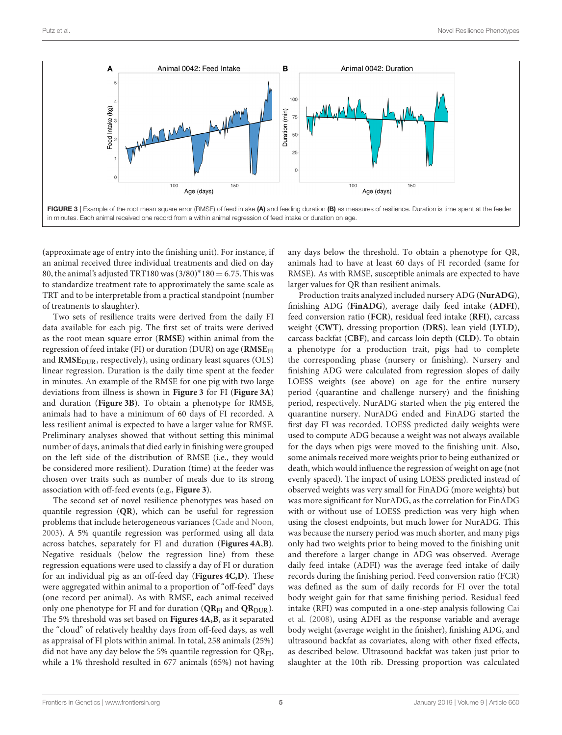

<span id="page-4-0"></span>(approximate age of entry into the finishing unit). For instance, if an animal received three individual treatments and died on day 80, the animal's adjusted TRT180 was (3/80)<sup>∗</sup> 180 = 6.75. This was to standardize treatment rate to approximately the same scale as TRT and to be interpretable from a practical standpoint (number of treatments to slaughter).

Two sets of resilience traits were derived from the daily FI data available for each pig. The first set of traits were derived as the root mean square error (**RMSE**) within animal from the regression of feed intake (FI) or duration (DUR) on age (**RMSE**FI and **RMSE**<sub>DUR</sub>, respectively), using ordinary least squares (OLS) linear regression. Duration is the daily time spent at the feeder in minutes. An example of the RMSE for one pig with two large deviations from illness is shown in **[Figure 3](#page-4-0)** for FI (**[Figure 3A](#page-4-0)**) and duration (**[Figure 3B](#page-4-0)**). To obtain a phenotype for RMSE, animals had to have a minimum of 60 days of FI recorded. A less resilient animal is expected to have a larger value for RMSE. Preliminary analyses showed that without setting this minimal number of days, animals that died early in finishing were grouped on the left side of the distribution of RMSE (i.e., they would be considered more resilient). Duration (time) at the feeder was chosen over traits such as number of meals due to its strong association with off-feed events (e.g., **[Figure 3](#page-4-0)**).

The second set of novel resilience phenotypes was based on quantile regression (**QR**), which can be useful for regression problems that include heterogeneous variances [\(Cade and Noon,](#page-11-6) [2003\)](#page-11-6). A 5% quantile regression was performed using all data across batches, separately for FI and duration (**[Figures 4A](#page-5-0)**,**B**). Negative residuals (below the regression line) from these regression equations were used to classify a day of FI or duration for an individual pig as an off-feed day (**[Figures 4C,D](#page-5-0)**). These were aggregated within animal to a proportion of "off-feed" days (one record per animal). As with RMSE, each animal received only one phenotype for FI and for duration  $(QR<sub>FI</sub>$  and  $QR<sub>DUR</sub>)$ . The 5% threshold was set based on **[Figures 4A,B](#page-5-0)**, as it separated the "cloud" of relatively healthy days from off-feed days, as well as appraisal of FI plots within animal. In total, 258 animals (25%) did not have any day below the 5% quantile regression for QRFI, while a 1% threshold resulted in 677 animals (65%) not having

any days below the threshold. To obtain a phenotype for QR, animals had to have at least 60 days of FI recorded (same for RMSE). As with RMSE, susceptible animals are expected to have larger values for QR than resilient animals.

Production traits analyzed included nursery ADG (**NurADG**), finishing ADG (**FinADG**), average daily feed intake (**ADFI**), feed conversion ratio (**FCR**), residual feed intake (**RFI**), carcass weight (**CWT**), dressing proportion (**DRS**), lean yield (**LYLD**), carcass backfat (**CBF**), and carcass loin depth (**CLD**). To obtain a phenotype for a production trait, pigs had to complete the corresponding phase (nursery or finishing). Nursery and finishing ADG were calculated from regression slopes of daily LOESS weights (see above) on age for the entire nursery period (quarantine and challenge nursery) and the finishing period, respectively. NurADG started when the pig entered the quarantine nursery. NurADG ended and FinADG started the first day FI was recorded. LOESS predicted daily weights were used to compute ADG because a weight was not always available for the days when pigs were moved to the finishing unit. Also, some animals received more weights prior to being euthanized or death, which would influence the regression of weight on age (not evenly spaced). The impact of using LOESS predicted instead of observed weights was very small for FinADG (more weights) but was more significant for NurADG, as the correlation for FinADG with or without use of LOESS prediction was very high when using the closest endpoints, but much lower for NurADG. This was because the nursery period was much shorter, and many pigs only had two weights prior to being moved to the finishing unit and therefore a larger change in ADG was observed. Average daily feed intake (ADFI) was the average feed intake of daily records during the finishing period. Feed conversion ratio (FCR) was defined as the sum of daily records for FI over the total body weight gain for that same finishing period. Residual feed intake (RFI) was computed in a one-step analysis following Cai et al. [\(2008\)](#page-11-7), using ADFI as the response variable and average body weight (average weight in the finisher), finishing ADG, and ultrasound backfat as covariates, along with other fixed effects, as described below. Ultrasound backfat was taken just prior to slaughter at the 10th rib. Dressing proportion was calculated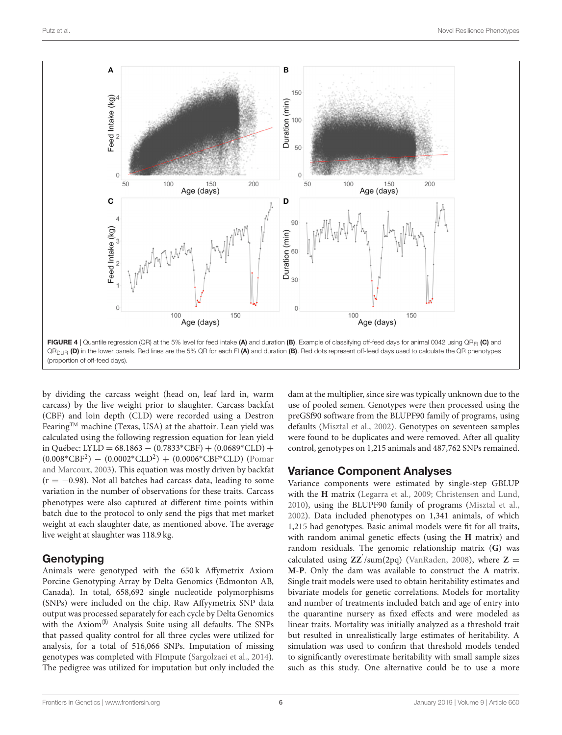

<span id="page-5-0"></span>by dividing the carcass weight (head on, leaf lard in, warm carcass) by the live weight prior to slaughter. Carcass backfat (CBF) and loin depth (CLD) were recorded using a Destron Fearing™ machine (Texas, USA) at the abattoir. Lean yield was calculated using the following regression equation for lean yield in Québec: LYLD =  $68.1863 - (0.7833 \cdot \text{CBF}) + (0.0689 \cdot \text{CLD}) +$  $(0.008*CBF<sup>2</sup>) - (0.0002*CLD<sup>2</sup>) + (0.0006*CBF*CLD)$  (Pomar and Marcoux, [2003\)](#page-12-14). This equation was mostly driven by backfat  $(r = -0.98)$ . Not all batches had carcass data, leading to some variation in the number of observations for these traits. Carcass phenotypes were also captured at different time points within batch due to the protocol to only send the pigs that met market weight at each slaughter date, as mentioned above. The average live weight at slaughter was 118.9 kg.

# Genotyping

Animals were genotyped with the 650 k Affymetrix Axiom Porcine Genotyping Array by Delta Genomics (Edmonton AB, Canada). In total, 658,692 single nucleotide polymorphisms (SNPs) were included on the chip. Raw Affyymetrix SNP data output was processed separately for each cycle by Delta Genomics with the Axiom<sup>®</sup> Analysis Suite using all defaults. The SNPs that passed quality control for all three cycles were utilized for analysis, for a total of 516,066 SNPs. Imputation of missing genotypes was completed with FImpute [\(Sargolzaei et al., 2014\)](#page-12-15). The pedigree was utilized for imputation but only included the dam at the multiplier, since sire was typically unknown due to the use of pooled semen. Genotypes were then processed using the preGSf90 software from the BLUPF90 family of programs, using defaults [\(Misztal et al., 2002\)](#page-12-16). Genotypes on seventeen samples were found to be duplicates and were removed. After all quality control, genotypes on 1,215 animals and 487,762 SNPs remained.

# Variance Component Analyses

Variance components were estimated by single-step GBLUP with the **H** matrix [\(Legarra et al., 2009;](#page-12-17) [Christensen and Lund,](#page-11-8) [2010\)](#page-11-8), using the BLUPF90 family of programs [\(Misztal et al.,](#page-12-16) [2002\)](#page-12-16). Data included phenotypes on 1,341 animals, of which 1,215 had genotypes. Basic animal models were fit for all traits, with random animal genetic effects (using the **H** matrix) and random residuals. The genomic relationship matrix (**G**) was calculated using  $ZZ'/sum(2pq)$  [\(VanRaden, 2008\)](#page-13-5), where  $Z =$ **M**-**P**. Only the dam was available to construct the **A** matrix. Single trait models were used to obtain heritability estimates and bivariate models for genetic correlations. Models for mortality and number of treatments included batch and age of entry into the quarantine nursery as fixed effects and were modeled as linear traits. Mortality was initially analyzed as a threshold trait but resulted in unrealistically large estimates of heritability. A simulation was used to confirm that threshold models tended to significantly overestimate heritability with small sample sizes such as this study. One alternative could be to use a more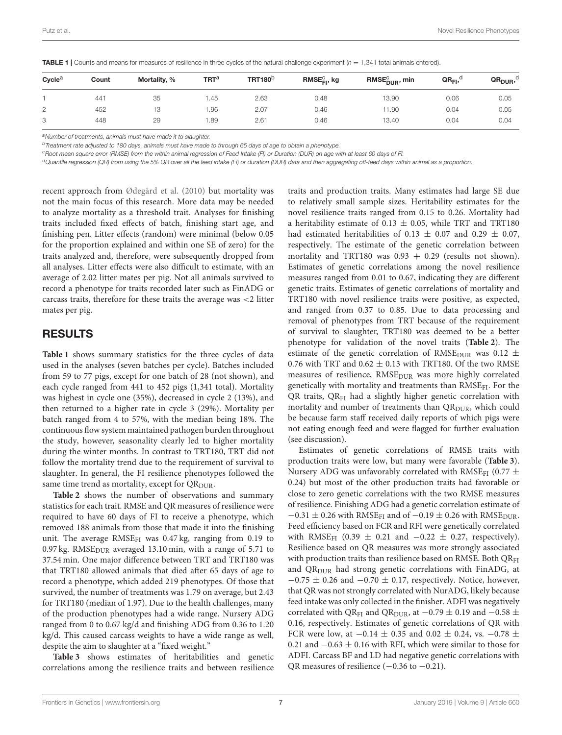| Cycle <sup>a</sup> | Count | Mortality, % | <b>TRTa</b> | <b>TRT180</b> <sup>b</sup> | $RMSE_{FI}^C$ , kg | $RMSE_{\text{DUR}}^c$ , min | $QR_{FI}$ , | $QR_{DUR}$ , $d$ |
|--------------------|-------|--------------|-------------|----------------------------|--------------------|-----------------------------|-------------|------------------|
|                    | 441   | 35           | 1.45        | 2.63                       | 0.48               | 13.90                       | 0.06        | 0.05             |
| 2                  | 452   | 13           | 1.96        | 2.07                       | 0.46               | 11.90                       | 0.04        | 0.05             |
| 3                  | 448   | 29           | 1.89        | 2.61                       | 0.46               | 13.40                       | 0.04        | 0.04             |

<span id="page-6-0"></span>**TABLE 1** | Counts and means for measures of resilience in three cycles of the natural challenge experiment  $(n = 1,341)$  total animals entered).

a Number of treatments, animals must have made it to slaughter

<sup>b</sup>Treatment rate adjusted to 180 days, animals must have made to through 65 days of age to obtain a phenotype.

<sup>c</sup> Root mean square error (RMSE) from the within animal regression of Feed Intake (FI) or Duration (DUR) on age with at least 60 days of FI.

 $d$ Quantile regression (QR) from using the 5% QR over all the feed intake (FI) or duration (DUR) data and then aggregating off-feed days within animal as a proportion.

recent approach from [Ødegård et al. \(2010\)](#page-12-18) but mortality was not the main focus of this research. More data may be needed to analyze mortality as a threshold trait. Analyses for finishing traits included fixed effects of batch, finishing start age, and finishing pen. Litter effects (random) were minimal (below 0.05 for the proportion explained and within one SE of zero) for the traits analyzed and, therefore, were subsequently dropped from all analyses. Litter effects were also difficult to estimate, with an average of 2.02 litter mates per pig. Not all animals survived to record a phenotype for traits recorded later such as FinADG or carcass traits, therefore for these traits the average was <2 litter mates per pig.

#### RESULTS

**[Table 1](#page-6-0)** shows summary statistics for the three cycles of data used in the analyses (seven batches per cycle). Batches included from 59 to 77 pigs, except for one batch of 28 (not shown), and each cycle ranged from 441 to 452 pigs (1,341 total). Mortality was highest in cycle one (35%), decreased in cycle 2 (13%), and then returned to a higher rate in cycle 3 (29%). Mortality per batch ranged from 4 to 57%, with the median being 18%. The continuous flow system maintained pathogen burden throughout the study, however, seasonality clearly led to higher mortality during the winter months. In contrast to TRT180, TRT did not follow the mortality trend due to the requirement of survival to slaughter. In general, the FI resilience phenotypes followed the same time trend as mortality, except for ORDUR.

**[Table 2](#page-7-0)** shows the number of observations and summary statistics for each trait. RMSE and QR measures of resilience were required to have 60 days of FI to receive a phenotype, which removed 188 animals from those that made it into the finishing unit. The average  $RMSE_{FI}$  was 0.47 kg, ranging from 0.19 to 0.97 kg. RMS $E_{DUR}$  averaged 13.10 min, with a range of 5.71 to 37.54 min. One major difference between TRT and TRT180 was that TRT180 allowed animals that died after 65 days of age to record a phenotype, which added 219 phenotypes. Of those that survived, the number of treatments was 1.79 on average, but 2.43 for TRT180 (median of 1.97). Due to the health challenges, many of the production phenotypes had a wide range. Nursery ADG ranged from 0 to 0.67 kg/d and finishing ADG from 0.36 to 1.20 kg/d. This caused carcass weights to have a wide range as well, despite the aim to slaughter at a "fixed weight."

**[Table 3](#page-8-0)** shows estimates of heritabilities and genetic correlations among the resilience traits and between resilience traits and production traits. Many estimates had large SE due to relatively small sample sizes. Heritability estimates for the novel resilience traits ranged from 0.15 to 0.26. Mortality had a heritability estimate of 0.13  $\pm$  0.05, while TRT and TRT180 had estimated heritabilities of 0.13  $\pm$  0.07 and 0.29  $\pm$  0.07, respectively. The estimate of the genetic correlation between mortality and TRT180 was  $0.93 + 0.29$  (results not shown). Estimates of genetic correlations among the novel resilience measures ranged from 0.01 to 0.67, indicating they are different genetic traits. Estimates of genetic correlations of mortality and TRT180 with novel resilience traits were positive, as expected, and ranged from 0.37 to 0.85. Due to data processing and removal of phenotypes from TRT because of the requirement of survival to slaughter, TRT180 was deemed to be a better phenotype for validation of the novel traits (**[Table 2](#page-7-0)**). The estimate of the genetic correlation of RMSE<sub>DUR</sub> was  $0.12 \pm$ 0.76 with TRT and 0.62  $\pm$  0.13 with TRT180. Of the two RMSE measures of resilience, RMSE<sub>DUR</sub> was more highly correlated genetically with mortality and treatments than RMSE<sub>FI</sub>. For the  $QR$  traits,  $QR_{FI}$  had a slightly higher genetic correlation with mortality and number of treatments than QR<sub>DUR</sub>, which could be because farm staff received daily reports of which pigs were not eating enough feed and were flagged for further evaluation (see discussion).

Estimates of genetic correlations of RMSE traits with production traits were low, but many were favorable (**[Table 3](#page-8-0)**). Nursery ADG was unfavorably correlated with RMSE<sub>FI</sub> (0.77  $\pm$ 0.24) but most of the other production traits had favorable or close to zero genetic correlations with the two RMSE measures of resilience. Finishing ADG had a genetic correlation estimate of  $-0.31 \pm 0.26$  with RMSE<sub>FI</sub> and of  $-0.19 \pm 0.26$  with RMSE<sub>DUR</sub>. Feed efficiency based on FCR and RFI were genetically correlated with RMSE<sub>FI</sub> (0.39  $\pm$  0.21 and −0.22  $\pm$  0.27, respectively). Resilience based on QR measures was more strongly associated with production traits than resilience based on RMSE. Both  $QR_{FI}$ and QR<sub>DUR</sub> had strong genetic correlations with FinADG, at  $-0.75 \pm 0.26$  and  $-0.70 \pm 0.17$ , respectively. Notice, however, that QR was not strongly correlated with NurADG, likely because feed intake was only collected in the finisher. ADFI was negatively correlated with QR<sub>FI</sub> and QR<sub>DUR</sub>, at  $-0.79 \pm 0.19$  and  $-0.58 \pm 0.19$ 0.16, respectively. Estimates of genetic correlations of QR with FCR were low, at  $-0.14 \pm 0.35$  and  $0.02 \pm 0.24$ , vs.  $-0.78 \pm 0.02$ 0.21 and  $-0.63 \pm 0.16$  with RFI, which were similar to those for ADFI. Carcass BF and LD had negative genetic correlations with QR measures of resilience (-0.36 to -0.21).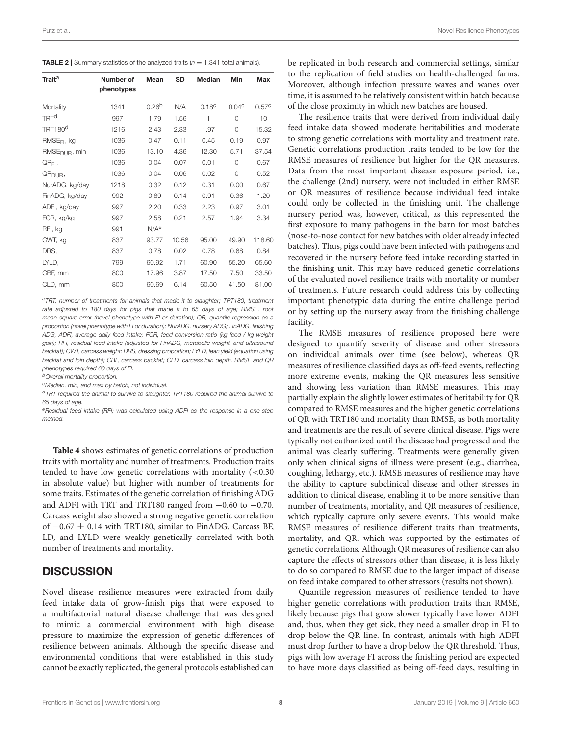<span id="page-7-0"></span>

| Trait <sup>a</sup>     | Number of<br>phenotypes | Mean              | <b>SD</b> | <b>Median</b>     | Min               | Max               |
|------------------------|-------------------------|-------------------|-----------|-------------------|-------------------|-------------------|
| Mortality              | 1341                    | 0.26 <sup>b</sup> | N/A       | 0.18 <sup>c</sup> | 0.04 <sup>c</sup> | 0.57 <sup>c</sup> |
| <b>TRT<sup>d</sup></b> | 997                     | 1.79              | 1.56      | 1                 | $\circ$           | 10                |
| TRT180 <sup>d</sup>    | 1216                    | 2.43              | 2.33      | 1.97              | $\circ$           | 15.32             |
| $RMSE_{FI}$ , kg       | 1036                    | 0.47              | 0.11      | 0.45              | 0.19              | 0.97              |
| $RMSEDUB$ , min        | 1036                    | 13.10             | 4.36      | 12.30             | 5.71              | 37.54             |
| $QR_{FI}$              | 1036                    | 0.04              | 0.07      | 0.01              | $\Omega$          | 0.67              |
| $QR_{DUR}$ ,           | 1036                    | 0.04              | 0.06      | 0.02              | $\circ$           | 0.52              |
| NurADG, kg/day         | 1218                    | 0.32              | 0.12      | 0.31              | 0.00              | 0.67              |
| FinADG, kg/day         | 992                     | 0.89              | 0.14      | 0.91              | 0.36              | 1.20              |
| ADFI, kg/day           | 997                     | 2.20              | 0.33      | 2.23              | 0.97              | 3.01              |
| FCR, kg/kg             | 997                     | 2.58              | 0.21      | 2.57              | 1.94              | 3.34              |
| RFI, kg                | 991                     | N/A <sup>e</sup>  |           |                   |                   |                   |
| CWT, kg                | 837                     | 93.77             | 10.56     | 95.00             | 49.90             | 118.60            |
| DRS.                   | 837                     | 0.78              | 0.02      | 0.78              | 0.68              | 0.84              |
| LYLD.                  | 799                     | 60.92             | 1.71      | 60.90             | 55.20             | 65.60             |
| CBF, mm                | 800                     | 17.96             | 3.87      | 17.50             | 7.50              | 33.50             |
| CLD, mm                | 800                     | 60.69             | 6.14      | 60.50             | 41.50             | 81.00             |

aTRT, number of treatments for animals that made it to slaughter; TRT180, treatment rate adjusted to 180 days for pigs that made it to 65 days of age; RMSE, root mean square error (novel phenotype with FI or duration); QR, quantile regression as a proportion (novel phenotype with FI or duration); NurADG, nursery ADG; FinADG, finishing ADG, ADFI, average daily feed intake; FCR, feed conversion ratio (kg feed / kg weight gain); RFI, residual feed intake (adjusted for FinADG, metabolic weight, and ultrasound backfat); CWT, carcass weight; DRS, dressing proportion; LYLD, lean yield (equation using backfat and loin depth); CBF, carcass backfat; CLD, carcass loin depth. RMSE and QR phenotypes required 60 days of FI.

**b**Overall mortality proportion.

<sup>c</sup>Median, min, and max by batch, not individual.

 $d$ TRT required the animal to survive to slaughter. TRT180 required the animal survive to 65 days of age.

eResidual feed intake (RFI) was calculated using ADFI as the response in a one-step method.

**[Table 4](#page-9-0)** shows estimates of genetic correlations of production traits with mortality and number of treatments. Production traits tended to have low genetic correlations with mortality  $(< 0.30$ in absolute value) but higher with number of treatments for some traits. Estimates of the genetic correlation of finishing ADG and ADFI with TRT and TRT180 ranged from −0.60 to −0.70. Carcass weight also showed a strong negative genetic correlation of  $-0.67 \pm 0.14$  with TRT180, similar to FinADG. Carcass BF, LD, and LYLD were weakly genetically correlated with both number of treatments and mortality.

### **DISCUSSION**

Novel disease resilience measures were extracted from daily feed intake data of grow-finish pigs that were exposed to a multifactorial natural disease challenge that was designed to mimic a commercial environment with high disease pressure to maximize the expression of genetic differences of resilience between animals. Although the specific disease and environmental conditions that were established in this study cannot be exactly replicated, the general protocols established can be replicated in both research and commercial settings, similar to the replication of field studies on health-challenged farms. Moreover, although infection pressure waxes and wanes over time, it is assumed to be relatively consistent within batch because of the close proximity in which new batches are housed.

The resilience traits that were derived from individual daily feed intake data showed moderate heritabilities and moderate to strong genetic correlations with mortality and treatment rate. Genetic correlations production traits tended to be low for the RMSE measures of resilience but higher for the QR measures. Data from the most important disease exposure period, i.e., the challenge (2nd) nursery, were not included in either RMSE or QR measures of resilience because individual feed intake could only be collected in the finishing unit. The challenge nursery period was, however, critical, as this represented the first exposure to many pathogens in the barn for most batches (nose-to-nose contact for new batches with older already infected batches). Thus, pigs could have been infected with pathogens and recovered in the nursery before feed intake recording started in the finishing unit. This may have reduced genetic correlations of the evaluated novel resilience traits with mortality or number of treatments. Future research could address this by collecting important phenotypic data during the entire challenge period or by setting up the nursery away from the finishing challenge facility.

The RMSE measures of resilience proposed here were designed to quantify severity of disease and other stressors on individual animals over time (see below), whereas QR measures of resilience classified days as off-feed events, reflecting more extreme events, making the QR measures less sensitive and showing less variation than RMSE measures. This may partially explain the slightly lower estimates of heritability for QR compared to RMSE measures and the higher genetic correlations of QR with TRT180 and mortality than RMSE, as both mortality and treatments are the result of severe clinical disease. Pigs were typically not euthanized until the disease had progressed and the animal was clearly suffering. Treatments were generally given only when clinical signs of illness were present (e.g., diarrhea, coughing, lethargy, etc.). RMSE measures of resilience may have the ability to capture subclinical disease and other stresses in addition to clinical disease, enabling it to be more sensitive than number of treatments, mortality, and QR measures of resilience, which typically capture only severe events. This would make RMSE measures of resilience different traits than treatments, mortality, and QR, which was supported by the estimates of genetic correlations. Although QR measures of resilience can also capture the effects of stressors other than disease, it is less likely to do so compared to RMSE due to the larger impact of disease on feed intake compared to other stressors (results not shown).

Quantile regression measures of resilience tended to have higher genetic correlations with production traits than RMSE, likely because pigs that grow slower typically have lower ADFI and, thus, when they get sick, they need a smaller drop in FI to drop below the QR line. In contrast, animals with high ADFI must drop further to have a drop below the QR threshold. Thus, pigs with low average FI across the finishing period are expected to have more days classified as being off-feed days, resulting in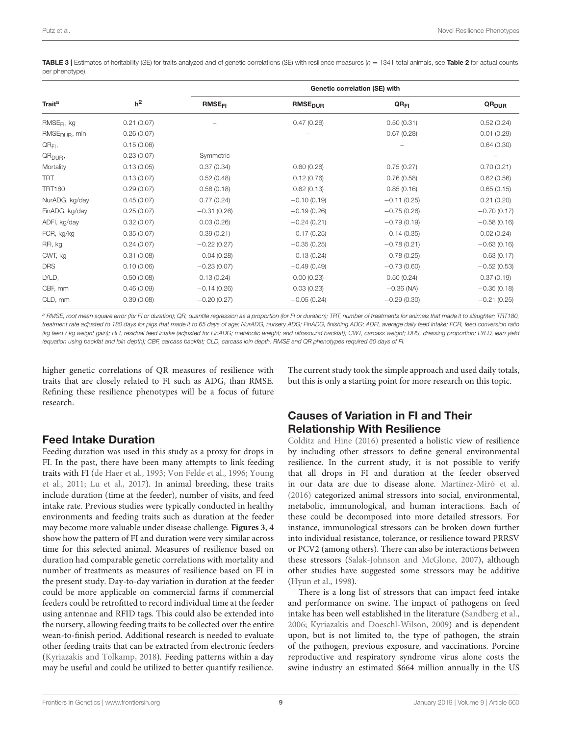<span id="page-8-0"></span>TABLE 3 | Estimates of heritability (SE) for traits analyzed and of genetic correlations (SE) with resilience measures  $(n = 1341)$  total animals, see [Table 2](#page-7-0) for actual counts per phenotype).

|                          | h <sup>2</sup> | Genetic correlation (SE) with |                     |                  |               |  |  |
|--------------------------|----------------|-------------------------------|---------------------|------------------|---------------|--|--|
| <b>Trait<sup>a</sup></b> |                | <b>RMSE<sub>FI</sub></b>      | RMSE <sub>DUR</sub> | QR <sub>FI</sub> | $QR_{DUR}$    |  |  |
| $RMSE_{FI}$ , kg         | 0.21(0.07)     |                               | 0.47(0.26)          | 0.50(0.31)       | 0.52(0.24)    |  |  |
| $RMSEDUR$ , min          | 0.26(0.07)     |                               |                     | 0.67(0.28)       | 0.01(0.29)    |  |  |
| $QR_{FI}$                | 0.15(0.06)     |                               |                     |                  | 0.64(0.30)    |  |  |
| $QR_{\text{DUR}},$       | 0.23(0.07)     | Symmetric                     |                     |                  |               |  |  |
| Mortality                | 0.13(0.05)     | 0.37(0.34)                    | 0.60(0.26)          | 0.75(0.27)       | 0.70(0.21)    |  |  |
| <b>TRT</b>               | 0.13(0.07)     | 0.52(0.48)                    | 0.12(0.76)          | 0.76(0.58)       | 0.62(0.56)    |  |  |
| <b>TRT180</b>            | 0.29(0.07)     | 0.56(0.18)                    | 0.62(0.13)          | 0.85(0.16)       | 0.65(0.15)    |  |  |
| NurADG, kg/day           | 0.45(0.07)     | 0.77(0.24)                    | $-0.10(0.19)$       | $-0.11(0.25)$    | 0.21(0.20)    |  |  |
| FinADG, kg/day           | 0.25(0.07)     | $-0.31(0.26)$                 | $-0.19(0.26)$       | $-0.75(0.26)$    | $-0.70(0.17)$ |  |  |
| ADFI, kg/day             | 0.32(0.07)     | 0.03(0.26)                    | $-0.24(0.21)$       | $-0.79(0.19)$    | $-0.58(0.16)$ |  |  |
| FCR, kg/kg               | 0.35(0.07)     | 0.39(0.21)                    | $-0.17(0.25)$       | $-0.14(0.35)$    | 0.02(0.24)    |  |  |
| RFI, kg                  | 0.24(0.07)     | $-0.22(0.27)$                 | $-0.35(0.25)$       | $-0.78(0.21)$    | $-0.63(0.16)$ |  |  |
| CWT, kg                  | 0.31(0.08)     | $-0.04(0.28)$                 | $-0.13(0.24)$       | $-0.78(0.25)$    | $-0.63(0.17)$ |  |  |
| <b>DRS</b>               | 0.10(0.06)     | $-0.23(0.07)$                 | $-0.49(0.49)$       | $-0.73(0.60)$    | $-0.52(0.53)$ |  |  |
| LYLD,                    | 0.50(0.08)     | 0.13(0.24)                    | 0.00(0.23)          | 0.50(0.24)       | 0.37(0.19)    |  |  |
| CBF, mm                  | 0.46(0.09)     | $-0.14(0.26)$                 | 0.03(0.23)          | $-0.36$ (NA)     | $-0.35(0.18)$ |  |  |
| CLD, mm                  | 0.39(0.08)     | $-0.20(0.27)$                 | $-0.05(0.24)$       | $-0.29(0.30)$    | $-0.21(0.25)$ |  |  |

a RMSE, root mean square error (for FI or duration); QR, quantile regression as a proportion (for FI or duration); TRT, number of treatments for animals that made it to slaughter; TRT180, treatment rate adjusted to 180 days for pigs that made it to 65 days of age; NurADG, nursery ADG; FinADG, finishing ADG; ADFI, average daily feed intake; FCR, feed conversion ratio (kg feed / kg weight gain); RFI, residual feed intake (adjusted for FinADG; metabolic weight; and ultrasound backfat); CWT, carcass weight; DRS, dressing proportion; LYLD, lean yield (equation using backfat and loin depth); CBF, carcass backfat; CLD, carcass loin depth. RMSE and QR phenotypes required 60 days of FI.

higher genetic correlations of QR measures of resilience with traits that are closely related to FI such as ADG, than RMSE. Refining these resilience phenotypes will be a focus of future research.

but this is only a starting point for more research on this topic.

The current study took the simple approach and used daily totals,

# Feed Intake Duration

Feeding duration was used in this study as a proxy for drops in FI. In the past, there have been many attempts to link feeding traits with FI [\(de Haer et al., 1993;](#page-11-4) [Von Felde et al., 1996;](#page-13-3) Young et al., [2011;](#page-13-4) [Lu et al., 2017\)](#page-12-11). In animal breeding, these traits include duration (time at the feeder), number of visits, and feed intake rate. Previous studies were typically conducted in healthy environments and feeding traits such as duration at the feeder may become more valuable under disease challenge. **[Figures 3](#page-4-0)**, **[4](#page-5-0)** show how the pattern of FI and duration were very similar across time for this selected animal. Measures of resilience based on duration had comparable genetic correlations with mortality and number of treatments as measures of resilience based on FI in the present study. Day-to-day variation in duration at the feeder could be more applicable on commercial farms if commercial feeders could be retrofitted to record individual time at the feeder using antennae and RFID tags. This could also be extended into the nursery, allowing feeding traits to be collected over the entire wean-to-finish period. Additional research is needed to evaluate other feeding traits that can be extracted from electronic feeders [\(Kyriazakis and Tolkamp, 2018\)](#page-12-12). Feeding patterns within a day may be useful and could be utilized to better quantify resilience.

# Causes of Variation in FI and Their Relationship With Resilience

[Colditz and Hine \(2016\)](#page-11-9) presented a holistic view of resilience by including other stressors to define general environmental resilience. In the current study, it is not possible to verify that all drops in FI and duration at the feeder observed in our data are due to disease alone. [Martínez-Miró et al.](#page-12-19) [\(2016\)](#page-12-19) categorized animal stressors into social, environmental, metabolic, immunological, and human interactions. Each of these could be decomposed into more detailed stressors. For instance, immunological stressors can be broken down further into individual resistance, tolerance, or resilience toward PRRSV or PCV2 (among others). There can also be interactions between these stressors [\(Salak-Johnson and McGlone, 2007\)](#page-12-20), although other studies have suggested some stressors may be additive [\(Hyun et al., 1998\)](#page-12-21).

There is a long list of stressors that can impact feed intake and performance on swine. The impact of pathogens on feed intake has been well established in the literature [\(Sandberg et al.,](#page-12-6) [2006;](#page-12-6) [Kyriazakis and Doeschl-Wilson, 2009\)](#page-12-7) and is dependent upon, but is not limited to, the type of pathogen, the strain of the pathogen, previous exposure, and vaccinations. Porcine reproductive and respiratory syndrome virus alone costs the swine industry an estimated \$664 million annually in the US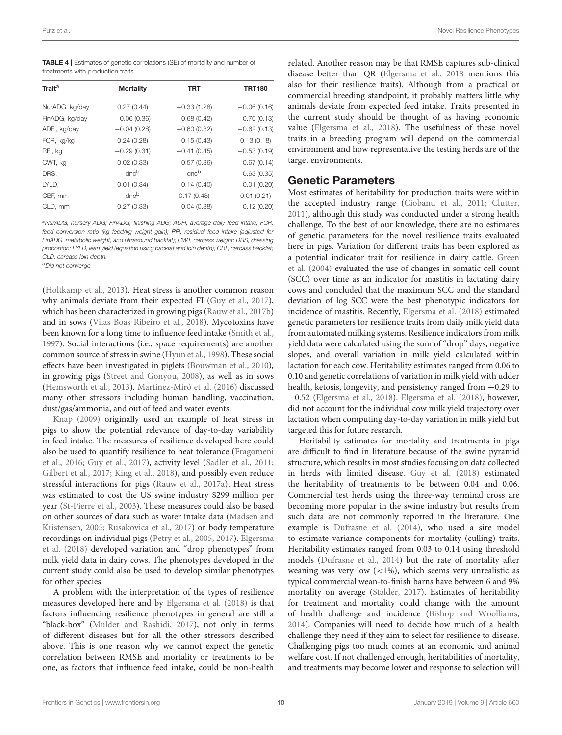<span id="page-9-0"></span>

| Trait <sup>a</sup> | <b>Mortality</b> | <b>TRT</b>       | <b>TRT180</b> |
|--------------------|------------------|------------------|---------------|
| NurADG, kg/day     | 0.27(0.44)       | $-0.33(1.28)$    | $-0.06(0.16)$ |
| FinADG, kg/day     | $-0.06(0.36)$    | $-0.68(0.42)$    | $-0.70(0.13)$ |
| ADFI, kg/day       | $-0.04(0.28)$    | $-0.60(0.32)$    | $-0.62(0.13)$ |
| FCR, kg/kg         | 0.24(0.28)       | $-0.15(0.43)$    | 0.13(0.18)    |
| RFI, kg            | $-0.29(0.31)$    | $-0.41(0.45)$    | $-0.53(0.19)$ |
| CWT, kg            | 0.02(0.33)       | $-0.57(0.36)$    | $-0.67(0.14)$ |
| DRS.               | dnc <sup>b</sup> | dnc <sup>b</sup> | $-0.63(0.35)$ |
| LYLD,              | 0.01(0.34)       | $-0.14(0.40)$    | $-0.01(0.20)$ |
| CBF, mm            | dnc <sup>b</sup> | 0.17(0.48)       | 0.01(0.21)    |
| CLD. mm            | 0.27(0.33)       | $-0.04(0.38)$    | $-0.12(0.20)$ |

aNurADG, nursery ADG; FinADG, finishing ADG; ADFI, average daily feed intake; FCR, feed conversion ratio (kg feed/kg weight gain); RFI, residual feed intake (adjusted for FinADG, metabolic weight, and ultrasound backfat); CWT, carcass weight; DRS, dressing proportion; LYLD, lean yield (equation using backfat and loin depth); CBF, carcass backfat; CLD, carcass loin depth.

**b**Did not converge.

[\(Holtkamp et al., 2013\)](#page-12-22). Heat stress is another common reason why animals deviate from their expected FI [\(Guy et al., 2017\)](#page-12-23), which has been characterized in growing pigs [\(Rauw et al., 2017b\)](#page-12-24) and in sows [\(Vilas Boas Ribeiro et al., 2018\)](#page-13-6). Mycotoxins have been known for a long time to influence feed intake [\(Smith et al.,](#page-13-7) [1997\)](#page-13-7). Social interactions (i.e., space requirements) are another common source of stress in swine [\(Hyun et al., 1998\)](#page-12-21). These social effects have been investigated in piglets [\(Bouwman et al., 2010\)](#page-11-10), in growing pigs [\(Street and Gonyou, 2008\)](#page-13-8), as well as in sows [\(Hemsworth et al., 2013\)](#page-12-25). [Martínez-Miró et al. \(2016\)](#page-12-19) discussed many other stressors including human handling, vaccination, dust/gas/ammonia, and out of feed and water events.

[Knap \(2009\)](#page-12-9) originally used an example of heat stress in pigs to show the potential relevance of day-to-day variability in feed intake. The measures of resilience developed here could also be used to quantify resilience to heat tolerance (Fragomeni et al., [2016;](#page-12-26) [Guy et al., 2017\)](#page-12-23), activity level [\(Sadler et al., 2011;](#page-12-27) [Gilbert et al., 2017;](#page-12-28) [King et al., 2018\)](#page-12-4), and possibly even reduce stressful interactions for pigs [\(Rauw et al., 2017a\)](#page-12-29). Heat stress was estimated to cost the US swine industry \$299 million per year [\(St-Pierre et al., 2003\)](#page-13-9). These measures could also be based on other sources of data such as water intake data (Madsen and Kristensen, [2005;](#page-12-30) [Rusakovica et al., 2017\)](#page-12-31) or body temperature recordings on individual pigs [\(Petry et al., 2005,](#page-12-32) [2017\)](#page-12-33). Elgersma et al. [\(2018\)](#page-12-3) developed variation and "drop phenotypes" from milk yield data in dairy cows. The phenotypes developed in the current study could also be used to develop similar phenotypes for other species.

A problem with the interpretation of the types of resilience measures developed here and by [Elgersma et al. \(2018\)](#page-12-3) is that factors influencing resilience phenotypes in general are still a "black-box" [\(Mulder and Rashidi, 2017\)](#page-12-0), not only in terms of different diseases but for all the other stressors described above. This is one reason why we cannot expect the genetic correlation between RMSE and mortality or treatments to be one, as factors that influence feed intake, could be non-health related. Another reason may be that RMSE captures sub-clinical disease better than QR [\(Elgersma et al., 2018](#page-12-3) mentions this also for their resilience traits). Although from a practical or commercial breeding standpoint, it probably matters little why animals deviate from expected feed intake. Traits presented in the current study should be thought of as having economic value [\(Elgersma et al., 2018\)](#page-12-3). The usefulness of these novel traits in a breeding program will depend on the commercial environment and how representative the testing herds are of the target environments.

#### Genetic Parameters

Most estimates of heritability for production traits were within the accepted industry range [\(Ciobanu et al., 2011;](#page-11-11) [Clutter,](#page-11-12) [2011\)](#page-11-12), although this study was conducted under a strong health challenge. To the best of our knowledge, there are no estimates of genetic parameters for the novel resilience traits evaluated here in pigs. Variation for different traits has been explored as a potential indicator trait for resilience in dairy cattle. Green et al. [\(2004\)](#page-12-34) evaluated the use of changes in somatic cell count (SCC) over time as an indicator for mastitis in lactating dairy cows and concluded that the maximum SCC and the standard deviation of log SCC were the best phenotypic indicators for incidence of mastitis. Recently, [Elgersma et al. \(2018\)](#page-12-3) estimated genetic parameters for resilience traits from daily milk yield data from automated milking systems. Resilience indicators from milk yield data were calculated using the sum of "drop" days, negative slopes, and overall variation in milk yield calculated within lactation for each cow. Heritability estimates ranged from 0.06 to 0.10 and genetic correlations of variation in milk yield with udder health, ketosis, longevity, and persistency ranged from −0.29 to −0.52 [\(Elgersma et al., 2018\)](#page-12-3). [Elgersma et al. \(2018\)](#page-12-3), however, did not account for the individual cow milk yield trajectory over lactation when computing day-to-day variation in milk yield but targeted this for future research.

Heritability estimates for mortality and treatments in pigs are difficult to find in literature because of the swine pyramid structure, which results in most studies focusing on data collected in herds with limited disease. [Guy et al. \(2018\)](#page-12-35) estimated the heritability of treatments to be between 0.04 and 0.06. Commercial test herds using the three-way terminal cross are becoming more popular in the swine industry but results from such data are not commonly reported in the literature. One example is [Dufrasne et al. \(2014\)](#page-12-36), who used a sire model to estimate variance components for mortality (culling) traits. Heritability estimates ranged from 0.03 to 0.14 using threshold models [\(Dufrasne et al., 2014\)](#page-12-36) but the rate of mortality after weaning was very low  $(<1%)$ , which seems very unrealistic as typical commercial wean-to-finish barns have between 6 and 9% mortality on average [\(Stalder, 2017\)](#page-13-10). Estimates of heritability for treatment and mortality could change with the amount of health challenge and incidence [\(Bishop and Woolliams,](#page-11-3) [2014\)](#page-11-3). Companies will need to decide how much of a health challenge they need if they aim to select for resilience to disease. Challenging pigs too much comes at an economic and animal welfare cost. If not challenged enough, heritabilities of mortality, and treatments may become lower and response to selection will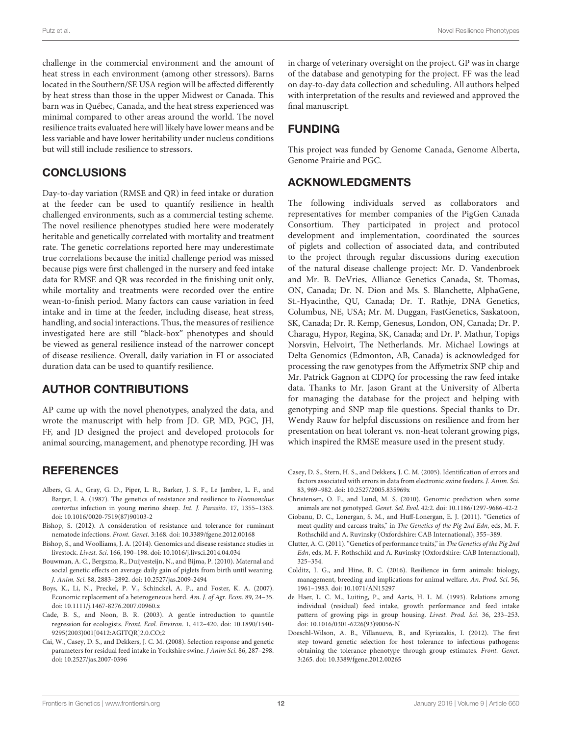challenge in the commercial environment and the amount of heat stress in each environment (among other stressors). Barns located in the Southern/SE USA region will be affected differently by heat stress than those in the upper Midwest or Canada. This barn was in Québec, Canada, and the heat stress experienced was minimal compared to other areas around the world. The novel resilience traits evaluated here will likely have lower means and be less variable and have lower heritability under nucleus conditions but will still include resilience to stressors.

### **CONCLUSIONS**

Day-to-day variation (RMSE and QR) in feed intake or duration at the feeder can be used to quantify resilience in health challenged environments, such as a commercial testing scheme. The novel resilience phenotypes studied here were moderately heritable and genetically correlated with mortality and treatment rate. The genetic correlations reported here may underestimate true correlations because the initial challenge period was missed because pigs were first challenged in the nursery and feed intake data for RMSE and QR was recorded in the finishing unit only, while mortality and treatments were recorded over the entire wean-to-finish period. Many factors can cause variation in feed intake and in time at the feeder, including disease, heat stress, handling, and social interactions. Thus, the measures of resilience investigated here are still "black-box" phenotypes and should be viewed as general resilience instead of the narrower concept of disease resilience. Overall, daily variation in FI or associated duration data can be used to quantify resilience.

# AUTHOR CONTRIBUTIONS

AP came up with the novel phenotypes, analyzed the data, and wrote the manuscript with help from JD. GP, MD, PGC, JH, FF, and JD designed the project and developed protocols for animal sourcing, management, and phenotype recording. JH was

# REFERENCES

- <span id="page-11-0"></span>Albers, G. A., Gray, G. D., Piper, L. R., Barker, J. S. F., Le Jambre, L. F., and Barger, I. A. (1987). The genetics of resistance and resilience to Haemonchus contortus infection in young merino sheep. Int. J. Parasito. 17, 1355–1363. doi: [10.1016/0020-7519\(87\)90103-2](https://doi.org/10.1016/0020-7519(87)90103-2)
- <span id="page-11-2"></span>Bishop, S. (2012). A consideration of resistance and tolerance for ruminant nematode infections. Front. Genet. 3:168. doi: [10.3389/fgene.2012.00168](https://doi.org/10.3389/fgene.2012.00168)
- <span id="page-11-3"></span>Bishop, S., and Woolliams, J. A. (2014). Genomics and disease resistance studies in livestock. Livest. Sci. 166, 190–198. doi: [10.1016/j.livsci.2014.04.034](https://doi.org/10.1016/j.livsci.2014.04.034)
- <span id="page-11-10"></span>Bouwman, A. C., Bergsma, R., Duijvesteijn, N., and Bijma, P. (2010). Maternal and social genetic effects on average daily gain of piglets from birth until weaning. J. Anim. Sci. 88, 2883–2892. doi: [10.2527/jas.2009-2494](https://doi.org/10.2527/jas.2009-2494)
- Boys, K., Li, N., Preckel, P. V., Schinckel, A. P., and Foster, K. A. (2007). Economic replacement of a heterogeneous herd. Am. J. of Agr. Econ. 89, 24–35. doi: [10.1111/j.1467-8276.2007.00960.x](https://doi.org/10.1111/j.1467-8276.2007.00960.x)
- <span id="page-11-6"></span>Cade, B. S., and Noon, B. R. (2003). A gentle introduction to quantile regression for ecologists. Front. Ecol. Environ. 1, 412–420. doi: 10.1890/1540- [9295\(2003\)001\[0412:AGITQR\]2.0.CO;2](https://doi.org/10.1890/1540-9295(2003)001[0412:AGITQR]2.0.CO;2)
- <span id="page-11-7"></span>Cai, W., Casey, D. S., and Dekkers, J. C. M. (2008). Selection response and genetic parameters for residual feed intake in Yorkshire swine. J Anim Sci. 86, 287–298. doi: [10.2527/jas.2007-0396](https://doi.org/10.2527/jas.2007-0396)

in charge of veterinary oversight on the project. GP was in charge of the database and genotyping for the project. FF was the lead on day-to-day data collection and scheduling. All authors helped with interpretation of the results and reviewed and approved the final manuscript.

# FUNDING

This project was funded by Genome Canada, Genome Alberta, Genome Prairie and PGC.

### ACKNOWLEDGMENTS

The following individuals served as collaborators and representatives for member companies of the PigGen Canada Consortium. They participated in project and protocol development and implementation, coordinated the sources of piglets and collection of associated data, and contributed to the project through regular discussions during execution of the natural disease challenge project: Mr. D. Vandenbroek and Mr. B. DeVries, Alliance Genetics Canada, St. Thomas, ON, Canada; Dr. N. Dion and Ms. S. Blanchette, AlphaGene, St.-Hyacinthe, QU, Canada; Dr. T. Rathje, DNA Genetics, Columbus, NE, USA; Mr. M. Duggan, FastGenetics, Saskatoon, SK, Canada; Dr. R. Kemp, Genesus, London, ON, Canada; Dr. P. Charagu, Hypor, Regina, SK, Canada; and Dr. P. Mathur, Topigs Norsvin, Helvoirt, The Netherlands. Mr. Michael Lowings at Delta Genomics (Edmonton, AB, Canada) is acknowledged for processing the raw genotypes from the Affymetrix SNP chip and Mr. Patrick Gagnon at CDPQ for processing the raw feed intake data. Thanks to Mr. Jason Grant at the University of Alberta for managing the database for the project and helping with genotyping and SNP map file questions. Special thanks to Dr. Wendy Rauw for helpful discussions on resilience and from her presentation on heat tolerant vs. non-heat tolerant growing pigs, which inspired the RMSE measure used in the present study.

- <span id="page-11-5"></span>Casey, D. S., Stern, H. S., and Dekkers, J. C. M. (2005). Identification of errors and factors associated with errors in data from electronic swine feeders. J. Anim. Sci. 83, 969–982. doi: [10.2527/2005.835969x](https://doi.org/10.2527/2005.835969x)
- <span id="page-11-8"></span>Christensen, O. F., and Lund, M. S. (2010). Genomic prediction when some animals are not genotyped. Genet. Sel. Evol. 42:2. doi: [10.1186/1297-9686-42-2](https://doi.org/10.1186/1297-9686-42-2)
- <span id="page-11-11"></span>Ciobanu, D. C., Lonergan, S. M., and Huff-Lonergan, E. J. (2011). "Genetics of meat quality and carcass traits," in The Genetics of the Pig 2nd Edn, eds, M. F. Rothschild and A. Ruvinsky (Oxfordshire: CAB International), 355–389.
- <span id="page-11-12"></span>Clutter, A. C. (2011). "Genetics of performance traits," in The Genetics of the Pig 2nd Edn, eds, M. F. Rothschild and A. Ruvinsky (Oxfordshire: CAB International), 325–354.
- <span id="page-11-9"></span>Colditz, I. G., and Hine, B. C. (2016). Resilience in farm animals: biology, management, breeding and implications for animal welfare. An. Prod. Sci. 56, 1961–1983. doi: [10.1071/AN15297](https://doi.org/10.1071/AN15297)
- <span id="page-11-4"></span>de Haer, L. C. M., Luiting, P., and Aarts, H. L. M. (1993). Relations among individual (residual) feed intake, growth performance and feed intake pattern of growing pigs in group housing. Livest. Prod. Sci. 36, 233–253. doi: [10.1016/0301-6226\(93\)90056-N](https://doi.org/10.1016/0301-6226(93)90056-N)
- <span id="page-11-1"></span>Doeschl-Wilson, A. B., Villanueva, B., and Kyriazakis, I. (2012). The first step toward genetic selection for host tolerance to infectious pathogens: obtaining the tolerance phenotype through group estimates. Front. Genet. 3:265. doi: [10.3389/fgene.2012.00265](https://doi.org/10.3389/fgene.2012.00265)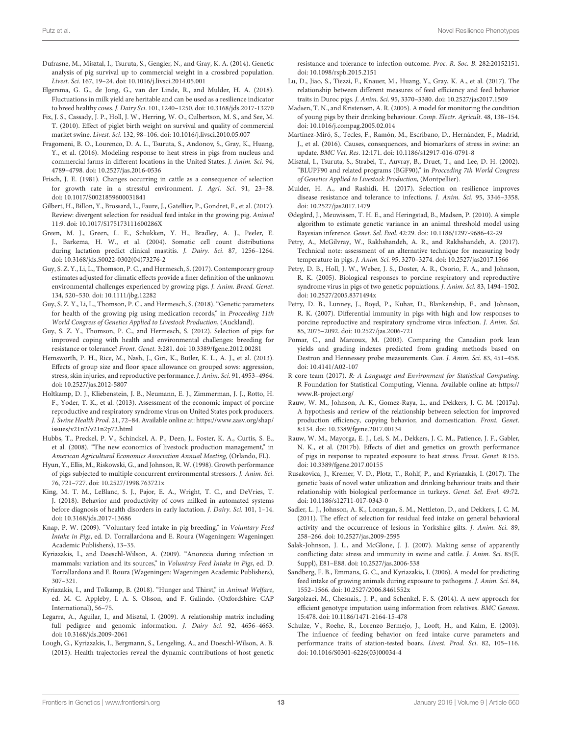- <span id="page-12-36"></span>Dufrasne, M., Misztal, I., Tsuruta, S., Gengler, N., and Gray, K. A. (2014). Genetic analysis of pig survival up to commercial weight in a crossbred population. Livest. Sci. 167, 19–24. doi: [10.1016/j.livsci.2014.05.001](https://doi.org/10.1016/j.livsci.2014.05.001)
- <span id="page-12-3"></span>Elgersma, G. G., de Jong, G., van der Linde, R., and Mulder, H. A. (2018). Fluctuations in milk yield are heritable and can be used as a resilience indicator to breed healthy cows. J. Dairy Sci. 101, 1240–1250. doi: [10.3168/jds.2017-13270](https://doi.org/10.3168/jds.2017-13270)
- Fix, J. S., Cassady, J. P., Holl, J. W., Herring, W. O., Culbertson, M. S., and See, M. T. (2010). Effect of piglet birth weight on survival and quality of commercial market swine. Livest. Sci. 132, 98–106. doi: [10.1016/j.livsci.2010.05.007](https://doi.org/10.1016/j.livsci.2010.05.007)
- <span id="page-12-26"></span>Fragomeni, B. O., Lourenco, D. A. L., Tsuruta, S., Andonov, S., Gray, K., Huang, Y., et al. (2016). Modeling response to heat stress in pigs from nucleus and commercial farms in different locations in the United States. J. Anim. Sci. 94, 4789–4798. doi: [10.2527/jas.2016-0536](https://doi.org/10.2527/jas.2016-0536)
- <span id="page-12-5"></span>Frisch, J. E. (1981). Changes occurring in cattle as a consequence of selection for growth rate in a stressful environment. J. Agri. Sci. 91, 23–38. doi: [10.1017/S0021859600031841](https://doi.org/10.1017/S0021859600031841)
- <span id="page-12-28"></span>Gilbert, H., Billon, Y., Brossard, L., Faure, J., Gatellier, P., Gondret, F., et al. (2017). Review: divergent selection for residual feed intake in the growing pig. Animal 11:9. doi: [10.1017/S175173111600286X](https://doi.org/10.1017/S175173111600286X)
- <span id="page-12-34"></span>Green, M. J., Green, L. E., Schukken, Y. H., Bradley, A. J., Peeler, E. J., Barkema, H. W., et al. (2004). Somatic cell count distributions during lactation predict clinical mastitis. J. Dairy. Sci. 87, 1256–1264. doi: [10.3168/jds.S0022-0302\(04\)73276-2](https://doi.org/10.3168/jds.S0022-0302(04)73276-2)
- <span id="page-12-23"></span>Guy, S. Z. Y., Li, L., Thomson, P. C., and Hermesch, S. (2017). Contemporary group estimates adjusted for climatic effects provide a finer definition of the unknown environmental challenges experienced by growing pigs. J. Anim. Breed. Genet. 134, 520–530. doi: [10.1111/jbg.12282](https://doi.org/10.1111/jbg.12282)
- <span id="page-12-35"></span>Guy, S. Z. Y., Li, L., Thomson, P. C., and Hermesch, S. (2018). "Genetic parameters for health of the growing pig using medication records," in Proceeding 11th World Congress of Genetics Applied to Livestock Production, (Auckland).
- <span id="page-12-2"></span>Guy, S. Z. Y., Thomson, P. C., and Hermesch, S. (2012). Selection of pigs for improved coping with health and environmental challenges: breeding for resistance or tolerance? Front. Genet. 3:281. doi: [10.3389/fgene.2012.00281](https://doi.org/10.3389/fgene.2012.00281)
- <span id="page-12-25"></span>Hemsworth, P. H., Rice, M., Nash, J., Giri, K., Butler, K. L., A. J., et al. (2013). Effects of group size and floor space allowance on grouped sows: aggression, stress, skin injuries, and reproductive performance. J. Anim. Sci. 91, 4953–4964. doi: [10.2527/jas.2012-5807](https://doi.org/10.2527/jas.2012-5807)
- <span id="page-12-22"></span>Holtkamp, D. J., Kliebenstein, J. B., Neumann, E. J., Zimmerman, J. J., Rotto, H. F., Yoder, T. K., et al. (2013). Assessment of the economic impact of porcine reproductive and respiratory syndrome virus on United States pork producers. J. Swine Health Prod. 21, 72–84. Available online at: [https://www.aasv.org/shap/](https://www.aasv.org/shap/issues/v21n2/v21n2p72.html) [issues/v21n2/v21n2p72.html](https://www.aasv.org/shap/issues/v21n2/v21n2p72.html)
- Hubbs, T., Preckel, P. V., Schinckel, A. P., Deen, J., Foster, K. A., Curtis, S. E., et al. (2008). "The new economics of livestock production management," in American Agricultural Economics Association Annual Meeting, (Orlando, FL).
- <span id="page-12-21"></span>Hyun, Y., Ellis, M., Riskowski, G., and Johnson, R. W. (1998). Growth performance of pigs subjected to multiple concurrent environmental stressors. J. Anim. Sci. 76, 721–727. doi: [10.2527/1998.763721x](https://doi.org/10.2527/1998.763721x)
- <span id="page-12-4"></span>King, M. T. M., LeBlanc, S. J., Pajor, E. A., Wright, T. C., and DeVries, T. J. (2018). Behavior and productivity of cows milked in automated systems before diagnosis of health disorders in early lactation. J. Dairy. Sci. 101, 1–14. doi: [10.3168/jds.2017-13686](https://doi.org/10.3168/jds.2017-13686)
- <span id="page-12-9"></span>Knap, P. W. (2009). "Voluntary feed intake in pig breeding," in Voluntary Feed Intake in Pigs, ed. D. Torrallardona and E. Roura (Wageningen: Wageningen Academic Publishers), 13–35.
- <span id="page-12-7"></span>Kyriazakis, I., and Doeschl-Wilson, A. (2009). "Anorexia during infection in mammals: variation and its sources," in Voluntray Feed Intake in Pigs, ed. D. Torrallardona and E. Roura (Wageningen: Wageningen Academic Publishers), 307–321.
- <span id="page-12-12"></span>Kyriazakis, I., and Tolkamp, B. (2018). "Hunger and Thirst," in Animal Welfare, ed. M. C. Appleby, I. A. S. Olsson, and F. Galindo. (Oxfordshire: CAP International), 56–75.
- <span id="page-12-17"></span>Legarra, A., Aguilar, I., and Misztal, I. (2009). A relationship matrix including full pedigree and genomic information. J. Dairy Sci. 92, 4656–4663. doi: [10.3168/jds.2009-2061](https://doi.org/10.3168/jds.2009-2061)
- <span id="page-12-1"></span>Lough, G., Kyriazakis, I., Bergmann, S., Lengeling, A., and Doeschl-Wilson, A. B. (2015). Health trajectories reveal the dynamic contributions of host genetic

resistance and tolerance to infection outcome. Proc. R. Soc. B. 282:20152151. doi: [10.1098/rspb.2015.2151](https://doi.org/10.1098/rspb.2015.2151)

- <span id="page-12-11"></span>Lu, D., Jiao, S., Tiezzi, F., Knauer, M., Huang, Y., Gray, K. A., et al. (2017). The relationship between different measures of feed efficiency and feed behavior traits in Duroc pigs. J. Anim. Sci. 95, 3370–3380. doi: [10.2527/jas2017.1509](https://doi.org/10.2527/jas2017.1509)
- <span id="page-12-30"></span>Madsen, T. N., and Kristensen, A. R. (2005). A model for monitoring the condition of young pigs by their drinking behaviour. Comp. Electr. Agricult. 48, 138–154. doi: [10.1016/j.compag.2005.02.014](https://doi.org/10.1016/j.compag.2005.02.014)
- <span id="page-12-19"></span>Martínez-Miró, S., Tecles, F., Ramón, M., Escribano, D., Hernández, F., Madrid, J., et al. (2016). Causes, consequences, and biomarkers of stress in swine: an update. BMC Vet. Res. 12:171. doi: [10.1186/s12917-016-0791-8](https://doi.org/10.1186/s12917-016-0791-8)
- <span id="page-12-16"></span>Misztal, I., Tsuruta, S., Strabel, T., Auvray, B., Druet, T., and Lee, D. H. (2002). "BLUPF90 and related programs (BGF90)," in Procceding 7th World Congress of Genetics Applied to Livestock Production, (Montpellier).
- <span id="page-12-0"></span>Mulder, H. A., and Rashidi, H. (2017). Selection on resilience improves disease resistance and tolerance to infections. J. Anim. Sci. 95, 3346–3358. doi: [10.2527/jas2017.1479](https://doi.org/10.2527/jas2017.1479)
- <span id="page-12-18"></span>Ødegård, J., Meuwissen, T. H. E., and Heringstad, B., Madsen, P. (2010). A simple algorithm to estimate genetic variance in an animal threshold model using Bayesian inference. Genet. Sel. Evol. 42:29. doi: [10.1186/1297-9686-42-29](https://doi.org/10.1186/1297-9686-42-29)
- <span id="page-12-33"></span>Petry, A., McGilvray, W., Rakhshandeh, A. R., and Rakhshandeh, A. (2017). Technical note: assessment of an alternative technique for measuring body temperature in pigs. J. Anim. Sci. 95, 3270–3274. doi: [10.2527/jas2017.1566](https://doi.org/10.2527/jas2017.1566)
- <span id="page-12-32"></span>Petry, D. B., Holl, J. W., Weber, J. S., Doster, A. R., Osorio, F. A., and Johnson, R. K. (2005). Biological responses to porcine respiratory and reproductive syndrome virus in pigs of two genetic populations. J. Anim. Sci. 83, 1494–1502. doi: [10.2527/2005.8371494x](https://doi.org/10.2527/2005.8371494x)
- <span id="page-12-8"></span>Petry, D. B., Lunney, J., Boyd, P., Kuhar, D., Blankenship, E., and Johnson, R. K. (2007). Differential immunity in pigs with high and low responses to porcine reproductive and respiratory syndrome virus infection. J. Anim. Sci. 85, 2075–2092. doi: [10.2527/jas.2006-721](https://doi.org/10.2527/jas.2006-721)
- <span id="page-12-14"></span>Pomar, C., and Marcoux, M. (2003). Comparing the Canadian pork lean yields and grading indexes predicted from grading methods based on Destron and Hennessey probe measurements. Can. J. Anim. Sci. 83, 451–458. doi: [10.4141/A02-107](https://doi.org/10.4141/A02-107)
- <span id="page-12-13"></span>R core team (2017). R: A Language and Environment for Statistical Computing. R Foundation for Statistical Computing, Vienna. Available online at: [https://](https://www.R-project.org/) [www.R-project.org/](https://www.R-project.org/)
- <span id="page-12-29"></span>Rauw, W. M., Johnson, A. K., Gomez-Raya, L., and Dekkers, J. C. M. (2017a). A hypothesis and review of the relationship between selection for improved production efficiency, copying behavior, and domestication. Front. Genet. 8:134. doi: [10.3389/fgene.2017.00134](https://doi.org/10.3389/fgene.2017.00134)
- <span id="page-12-24"></span>Rauw, W. M., Mayorga, E. J., Lei, S. M., Dekkers, J. C. M., Patience, J. F., Gabler, N. K., et al. (2017b). Effects of diet and genetics on growth performance of pigs in response to repeated exposure to heat stress. Front. Genet. 8:155. doi: [10.3389/fgene.2017.00155](https://doi.org/10.3389/fgene.2017.00155)
- <span id="page-12-31"></span>Rusakovica, J., Kremer, V. D., Plotz, T., Rohlf, P., and Kyriazakis, I. (2017). The genetic basis of novel water utilization and drinking behaviour traits and their relationship with biological performance in turkeys. Genet. Sel. Evol. 49:72. doi: [10.1186/s12711-017-0343-0](https://doi.org/10.1186/s12711-017-0343-0)
- <span id="page-12-27"></span>Sadler, L. J., Johnson, A. K., Lonergan, S. M., Nettleton, D., and Dekkers, J. C. M. (2011). The effect of selection for residual feed intake on general behavioral activity and the occurrence of lesions in Yorkshire gilts. J. Anim. Sci. 89, 258–266. doi: [10.2527/jas.2009-2595](https://doi.org/10.2527/jas.2009-2595)
- <span id="page-12-20"></span>Salak-Johnson, J. L., and McGlone, J. J. (2007). Making sense of apparently conflicting data: stress and immunity in swine and cattle. J. Anim. Sci. 85(E. Suppl), E81–E88. doi: [10.2527/jas.2006-538](https://doi.org/10.2527/jas.2006-538)
- <span id="page-12-6"></span>Sandberg, F. B., Emmans, G. C., and Kyriazakis, I. (2006). A model for predicting feed intake of growing animals during exposure to pathogens. J. Anim. Sci. 84, 1552–1566. doi: [10.2527/2006.8461552x](https://doi.org/10.2527/2006.8461552x)
- <span id="page-12-15"></span>Sargolzaei, M., Chesnais,. J. P., and Schenkel, F. S. (2014). A new approach for efficient genotype imputation using information from relatives. BMC Genom. 15:478. doi: [10.1186/1471-2164-15-478](https://doi.org/10.1186/1471-2164-15-478)
- <span id="page-12-10"></span>Schulze, V., Roehe, R., Lorenzo Bermejo, J., Looft, H., and Kalm, E. (2003). The influence of feeding behavior on feed intake curve parameters and performance traits of station-tested boars. Livest. Prod. Sci. 82, 105–116. doi: [10.1016/S0301-6226\(03\)00034-4](https://doi.org/10.1016/S0301-6226(03)00034-4)